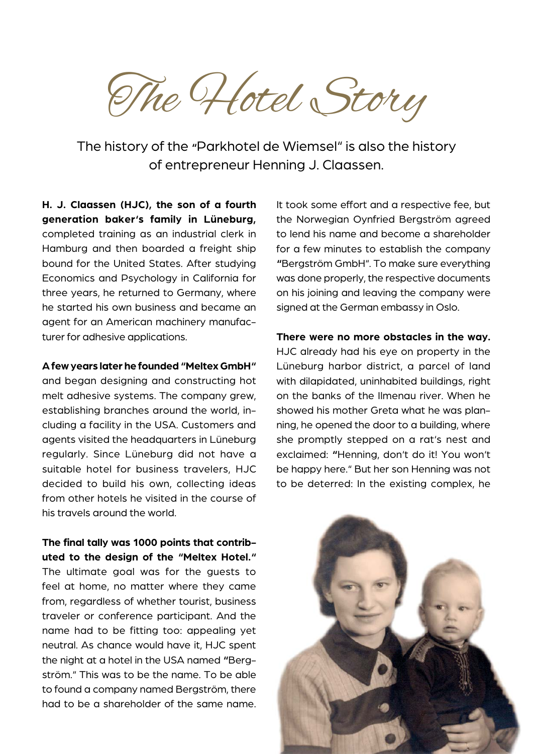The Hotel Story

The history of the **"**Parkhotel de Wiemsel" is also the history of entrepreneur Henning J. Claassen.

**H. J. Claassen (HJC), the son of a fourth generation baker's family in Lüneburg,** completed training as an industrial clerk in Hamburg and then boarded a freight ship bound for the United States. After studying Economics and Psychology in California for three years, he returned to Germany, where he started his own business and became an agent for an American machinery manufacturer for adhesive applications.

## **A few years later he founded "Meltex GmbH"**

and began designing and constructing hot melt adhesive systems. The company grew, establishing branches around the world, including a facility in the USA. Customers and agents visited the headquarters in Lüneburg regularly. Since Lüneburg did not have a suitable hotel for business travelers, HJC decided to build his own, collecting ideas from other hotels he visited in the course of his travels around the world.

**The final tally was 1000 points that contributed to the design of the "Meltex Hotel."**  The ultimate goal was for the guests to feel at home, no matter where they came from, regardless of whether tourist, business traveler or conference participant. And the name had to be fitting too: appealing yet neutral. As chance would have it, HJC spent the night at a hotel in the USA named **"**Bergström." This was to be the name. To be able to found a company named Bergström, there had to be a shareholder of the same name.

It took some effort and a respective fee, but the Norwegian Oynfried Bergström agreed to lend his name and become a shareholder for a few minutes to establish the company **"**Bergström GmbH". To make sure everything was done properly, the respective documents on his joining and leaving the company were signed at the German embassy in Oslo.

## **There were no more obstacles in the way.**

HJC already had his eye on property in the Lüneburg harbor district, a parcel of land with dilapidated, uninhabited buildings, right on the banks of the Ilmenau river. When he showed his mother Greta what he was planning, he opened the door to a building, where she promptly stepped on a rat's nest and exclaimed: **"**Henning, don't do it! You won't be happy here." But her son Henning was not to be deterred: In the existing complex, he

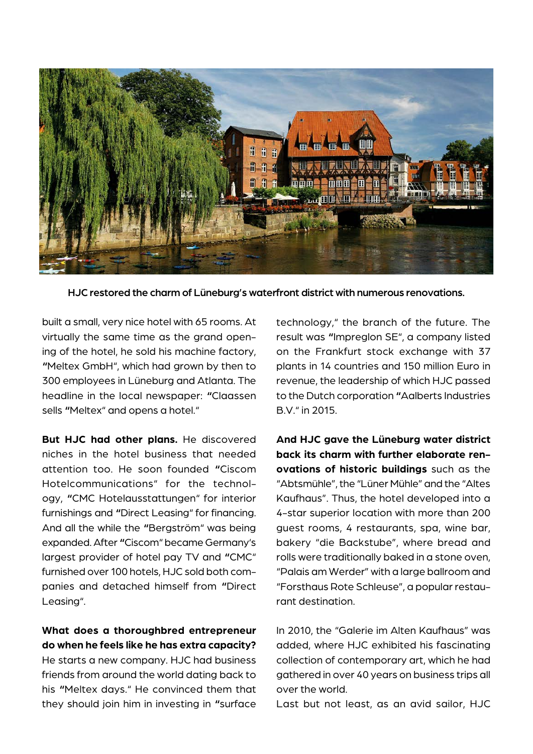

HJC restored the charm of Lüneburg's waterfront district with numerous renovations.

built a small, very nice hotel with 65 rooms. At virtually the same time as the grand opening of the hotel, he sold his machine factory, **"**Meltex GmbH", which had grown by then to 300 employees in Lüneburg and Atlanta. The headline in the local newspaper: **"**Claassen sells **"**Meltex" and opens a hotel."

**But HJC had other plans.** He discovered niches in the hotel business that needed attention too. He soon founded **"**Ciscom Hotelcommunications" for the technology, **"**CMC Hotelausstattungen" for interior furnishings and **"**Direct Leasing" for financing. And all the while the **"**Bergström" was being expanded. After **"**Ciscom" became Germany's largest provider of hotel pay TV and **"**CMC" furnished over 100 hotels, HJC sold both companies and detached himself from **"**Direct Leasing".

**What does a thoroughbred entrepreneur do when he feels like he has extra capacity?**  He starts a new company. HJC had business friends from around the world dating back to his **"**Meltex days." He convinced them that they should join him in investing in **"**surface technology," the branch of the future. The result was **"**Impreglon SE", a company listed on the Frankfurt stock exchange with 37 plants in 14 countries and 150 million Euro in revenue, the leadership of which HJC passed to the Dutch corporation **"**Aalberts Industries B.V." in 2015.

**And HJC gave the Lüneburg water district back its charm with further elaborate renovations of historic buildings** such as the "Abtsmühle", the "Lüner Mühle" and the "Altes Kaufhaus". Thus, the hotel developed into a 4-star superior location with more than 200 guest rooms, 4 restaurants, spa, wine bar, bakery "die Backstube", where bread and rolls were traditionally baked in a stone oven, "Palais am Werder" with a large ballroom and "Forsthaus Rote Schleuse", a popular restaurant destination.

In 2010, the "Galerie im Alten Kaufhaus" was added, where HJC exhibited his fascinating collection of contemporary art, which he had gathered in over 40 years on business trips all over the world.

Last but not least, as an avid sailor, HJC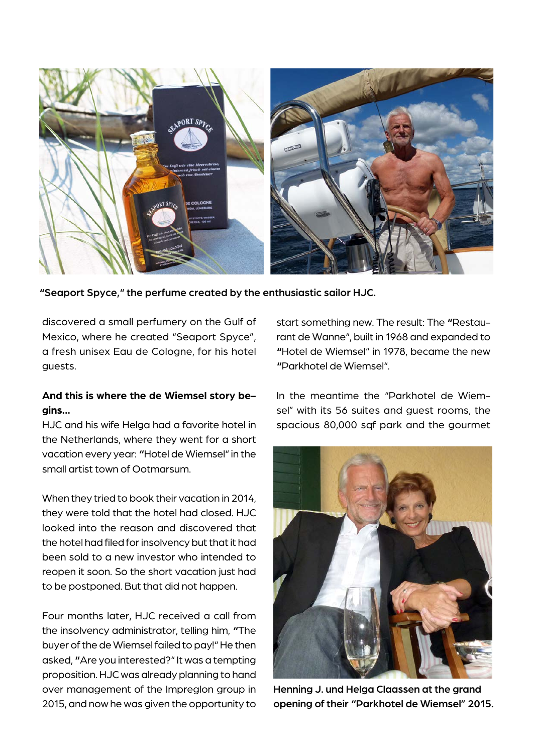

**"**Seaport Spyce," the perfume created by the enthusiastic sailor HJC.

discovered a small perfumery on the Gulf of Mexico, where he created "Seaport Spyce", a fresh unisex Eau de Cologne, for his hotel guests.

## **And this is where the de Wiemsel story begins...**

HJC and his wife Helga had a favorite hotel in the Netherlands, where they went for a short vacation every year: **"**Hotel de Wiemsel" in the small artist town of Ootmarsum.

When they tried to book their vacation in 2014, they were told that the hotel had closed. HJC looked into the reason and discovered that the hotel had filed for insolvency but that it had been sold to a new investor who intended to reopen it soon. So the short vacation just had to be postponed. But that did not happen.

Four months later, HJC received a call from the insolvency administrator, telling him, **"**The buyer of the de Wiemsel failed to pay!" He then asked, **"**Are you interested?" It was a tempting proposition. HJC was already planning to hand over management of the Impreglon group in 2015, and now he was given the opportunity to start something new. The result: The **"**Restaurant de Wanne", built in 1968 and expanded to **"**Hotel de Wiemsel" in 1978, became the new **"**Parkhotel de Wiemsel".

In the meantime the "Parkhotel de Wiemsel" with its 56 suites and guest rooms, the spacious 80,000 sqf park and the gourmet



Henning J. und Helga Claassen at the grand opening of their **"**Parkhotel de Wiemsel" 2015.